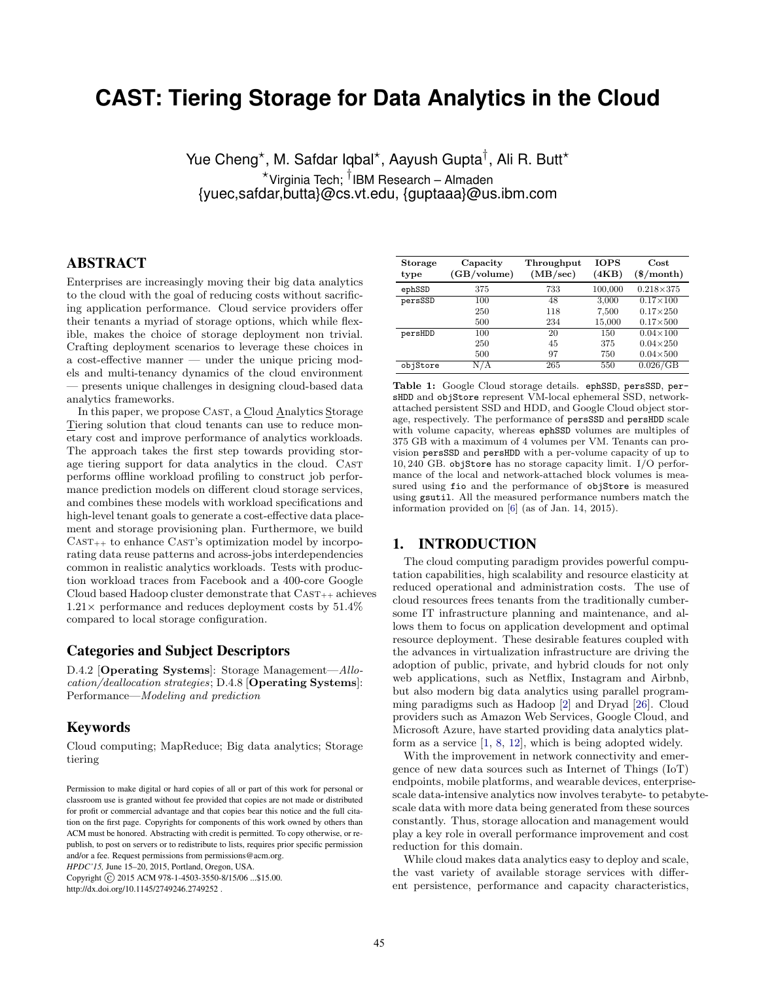# **CAST: Tiering Storage for Data Analytics in the Cloud**

Yue Cheng<sup>\*</sup>, M. Safdar Iqbal<sup>\*</sup>, Aayush Gupta<sup>†</sup>, Ali R. Butt<sup>\*</sup> <sup>⋆</sup>Virginia Tech; † IBM Research – Almaden {yuec,safdar,butta}@cs.vt.edu, {guptaaa}@us.ibm.com

# ABSTRACT

Enterprises are increasingly moving their big data analytics to the cloud with the goal of reducing costs without sacrificing application performance. Cloud service providers offer their tenants a myriad of storage options, which while flexible, makes the choice of storage deployment non trivial. Crafting deployment scenarios to leverage these choices in a cost-effective manner — under the unique pricing models and multi-tenancy dynamics of the cloud environment — presents unique challenges in designing cloud-based data analytics frameworks.

In this paper, we propose CAST, a Cloud Analytics Storage Tiering solution that cloud tenants can use to reduce monetary cost and improve performance of analytics workloads. The approach takes the first step towards providing storage tiering support for data analytics in the cloud. CAST performs offline workload profiling to construct job performance prediction models on different cloud storage services, and combines these models with workload specifications and high-level tenant goals to generate a cost-effective data placement and storage provisioning plan. Furthermore, we build  $CAST_{++}$  to enhance  $CAST$ 's optimization model by incorporating data reuse patterns and across-jobs interdependencies common in realistic analytics workloads. Tests with production workload traces from Facebook and a 400-core Google Cloud based Hadoop cluster demonstrate that  $C_AST_{++}$  achieves  $1.21\times$  performance and reduces deployment costs by  $51.4\%$ compared to local storage configuration.

# Categories and Subject Descriptors

D.4.2 [Operating Systems]: Storage Management—Allocation/deallocation strategies; D.4.8 [Operating Systems]: Performance—Modeling and prediction

# Keywords

Cloud computing; MapReduce; Big data analytics; Storage tiering

*HPDC'15,* June 15–20, 2015, Portland, Oregon, USA. Copyright (C) 2015 ACM 978-1-4503-3550-8/15/06 ... \$15.00.

http://dx.doi.org/10.1145/2749246.2749252 .

<span id="page-0-0"></span>

| Storage<br>type | Capacity<br>(GB/volume) | Throughput<br>(MB/sec) | <b>TOPS</b><br>(4KB) | Cost<br>$(\$/month)$ |
|-----------------|-------------------------|------------------------|----------------------|----------------------|
| ephSSD          | 375                     | 733                    | 100,000              | $0.218 \times 375$   |
| persSSD         | 100                     | 48                     | 3,000                | $0.17\times100$      |
|                 | 250                     | 118                    | 7,500                | $0.17\times250$      |
|                 | 500                     | 234                    | 15,000               | $0.17\times500$      |
| persHDD         | 100                     | 20                     | 150                  | $0.04\times100$      |
|                 | 250                     | 45                     | 375                  | $0.04\times250$      |
|                 | 500                     | 97                     | 750                  | $0.04 \times 500$    |
| objStore        | N/A                     | 265                    | 550                  | $0.026/\text{GB}$    |

Table 1: Google Cloud storage details. ephSSD, persSSD, persHDD and objStore represent VM-local ephemeral SSD, networkattached persistent SSD and HDD, and Google Cloud object storage, respectively. The performance of persSSD and persHDD scale with volume capacity, whereas ephSSD volumes are multiples of 375 GB with a maximum of 4 volumes per VM. Tenants can provision persSSD and persHDD with a per-volume capacity of up to 10, 240 GB. objStore has no storage capacity limit. I/O performance of the local and network-attached block volumes is measured using fio and the performance of objStore is measured using gsutil. All the measured performance numbers match the information provided on [\[6\]](#page-10-0) (as of Jan. 14, 2015).

# 1. INTRODUCTION

The cloud computing paradigm provides powerful computation capabilities, high scalability and resource elasticity at reduced operational and administration costs. The use of cloud resources frees tenants from the traditionally cumbersome IT infrastructure planning and maintenance, and allows them to focus on application development and optimal resource deployment. These desirable features coupled with the advances in virtualization infrastructure are driving the adoption of public, private, and hybrid clouds for not only web applications, such as Netflix, Instagram and Airbnb, but also modern big data analytics using parallel programming paradigms such as Hadoop [\[2\]](#page-10-1) and Dryad [\[26\]](#page-11-0). Cloud providers such as Amazon Web Services, Google Cloud, and Microsoft Azure, have started providing data analytics platform as a service [\[1,](#page-10-2) [8,](#page-10-3) [12\]](#page-10-4), which is being adopted widely.

With the improvement in network connectivity and emergence of new data sources such as Internet of Things (IoT) endpoints, mobile platforms, and wearable devices, enterprisescale data-intensive analytics now involves terabyte- to petabytescale data with more data being generated from these sources constantly. Thus, storage allocation and management would play a key role in overall performance improvement and cost reduction for this domain.

While cloud makes data analytics easy to deploy and scale, the vast variety of available storage services with different persistence, performance and capacity characteristics,

Permission to make digital or hard copies of all or part of this work for personal or classroom use is granted without fee provided that copies are not made or distributed for profit or commercial advantage and that copies bear this notice and the full citation on the first page. Copyrights for components of this work owned by others than ACM must be honored. Abstracting with credit is permitted. To copy otherwise, or republish, to post on servers or to redistribute to lists, requires prior specific permission and/or a fee. Request permissions from permissions@acm.org.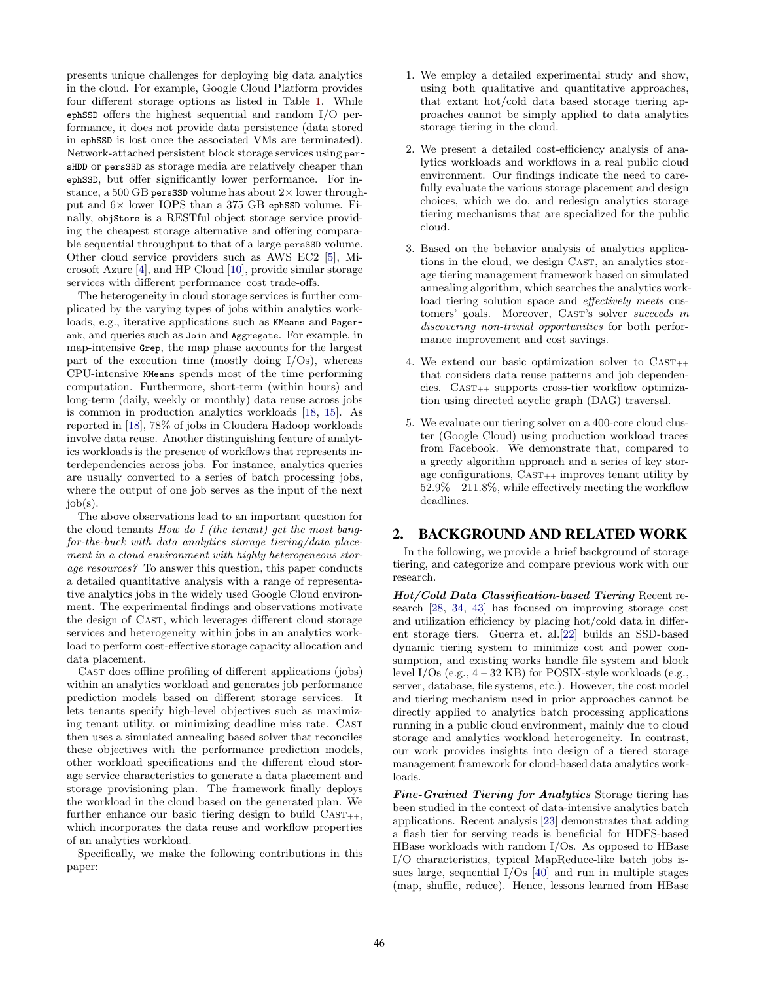presents unique challenges for deploying big data analytics in the cloud. For example, Google Cloud Platform provides four different storage options as listed in Table [1.](#page-0-0) While ephSSD offers the highest sequential and random I/O performance, it does not provide data persistence (data stored in ephSSD is lost once the associated VMs are terminated). Network-attached persistent block storage services using persHDD or persSSD as storage media are relatively cheaper than ephSSD, but offer significantly lower performance. For instance, a 500 GB persSSD volume has about  $2 \times$  lower throughput and  $6\times$  lower IOPS than a 375 GB ephSSD volume. Finally, objStore is a RESTful object storage service providing the cheapest storage alternative and offering comparable sequential throughput to that of a large persSSD volume. Other cloud service providers such as AWS EC2 [\[5\]](#page-10-5), Microsoft Azure [\[4\]](#page-10-6), and HP Cloud [\[10\]](#page-10-7), provide similar storage services with different performance–cost trade-offs.

The heterogeneity in cloud storage services is further complicated by the varying types of jobs within analytics workloads, e.g., iterative applications such as KMeans and Pagerank, and queries such as Join and Aggregate. For example, in map-intensive Grep, the map phase accounts for the largest part of the execution time (mostly doing I/Os), whereas CPU-intensive KMeans spends most of the time performing computation. Furthermore, short-term (within hours) and long-term (daily, weekly or monthly) data reuse across jobs is common in production analytics workloads [\[18,](#page-11-1) [15\]](#page-10-8). As reported in [\[18\]](#page-11-1), 78% of jobs in Cloudera Hadoop workloads involve data reuse. Another distinguishing feature of analytics workloads is the presence of workflows that represents interdependencies across jobs. For instance, analytics queries are usually converted to a series of batch processing jobs, where the output of one job serves as the input of the next job(s).

The above observations lead to an important question for the cloud tenants How do I (the tenant) get the most bangfor-the-buck with data analytics storage tiering/data placement in a cloud environment with highly heterogeneous storage resources? To answer this question, this paper conducts a detailed quantitative analysis with a range of representative analytics jobs in the widely used Google Cloud environment. The experimental findings and observations motivate the design of Cast, which leverages different cloud storage services and heterogeneity within jobs in an analytics workload to perform cost-effective storage capacity allocation and data placement.

Cast does offline profiling of different applications (jobs) within an analytics workload and generates job performance prediction models based on different storage services. It lets tenants specify high-level objectives such as maximizing tenant utility, or minimizing deadline miss rate. CAST then uses a simulated annealing based solver that reconciles these objectives with the performance prediction models, other workload specifications and the different cloud storage service characteristics to generate a data placement and storage provisioning plan. The framework finally deploys the workload in the cloud based on the generated plan. We further enhance our basic tiering design to build  $CAST_{++}$ , which incorporates the data reuse and workflow properties of an analytics workload.

Specifically, we make the following contributions in this paper:

- 1. We employ a detailed experimental study and show, using both qualitative and quantitative approaches, that extant hot/cold data based storage tiering approaches cannot be simply applied to data analytics storage tiering in the cloud.
- 2. We present a detailed cost-efficiency analysis of analytics workloads and workflows in a real public cloud environment. Our findings indicate the need to carefully evaluate the various storage placement and design choices, which we do, and redesign analytics storage tiering mechanisms that are specialized for the public cloud.
- 3. Based on the behavior analysis of analytics applications in the cloud, we design CAST, an analytics storage tiering management framework based on simulated annealing algorithm, which searches the analytics workload tiering solution space and effectively meets customers' goals. Moreover, CAST's solver succeeds in discovering non-trivial opportunities for both performance improvement and cost savings.
- 4. We extend our basic optimization solver to  $C_{\text{AST++}}$ that considers data reuse patterns and job dependencies.  $CAST_{++}$  supports cross-tier workflow optimization using directed acyclic graph (DAG) traversal.
- 5. We evaluate our tiering solver on a 400-core cloud cluster (Google Cloud) using production workload traces from Facebook. We demonstrate that, compared to a greedy algorithm approach and a series of key storage configurations,  $C_AST_{++}$  improves tenant utility by 52.9% – 211.8%, while effectively meeting the workflow deadlines.

# 2. BACKGROUND AND RELATED WORK

In the following, we provide a brief background of storage tiering, and categorize and compare previous work with our research.

Hot/Cold Data Classification-based Tiering Recent research [\[28,](#page-11-2) [34,](#page-11-3) [43\]](#page-11-4) has focused on improving storage cost and utilization efficiency by placing hot/cold data in different storage tiers. Guerra et. al.[\[22\]](#page-11-5) builds an SSD-based dynamic tiering system to minimize cost and power consumption, and existing works handle file system and block level I/Os (e.g., 4 – 32 KB) for POSIX-style workloads (e.g., server, database, file systems, etc.). However, the cost model and tiering mechanism used in prior approaches cannot be directly applied to analytics batch processing applications running in a public cloud environment, mainly due to cloud storage and analytics workload heterogeneity. In contrast, our work provides insights into design of a tiered storage management framework for cloud-based data analytics workloads.

Fine-Grained Tiering for Analytics Storage tiering has been studied in the context of data-intensive analytics batch applications. Recent analysis [\[23\]](#page-11-6) demonstrates that adding a flash tier for serving reads is beneficial for HDFS-based HBase workloads with random I/Os. As opposed to HBase I/O characteristics, typical MapReduce-like batch jobs issues large, sequential I/Os [\[40\]](#page-11-7) and run in multiple stages (map, shuffle, reduce). Hence, lessons learned from HBase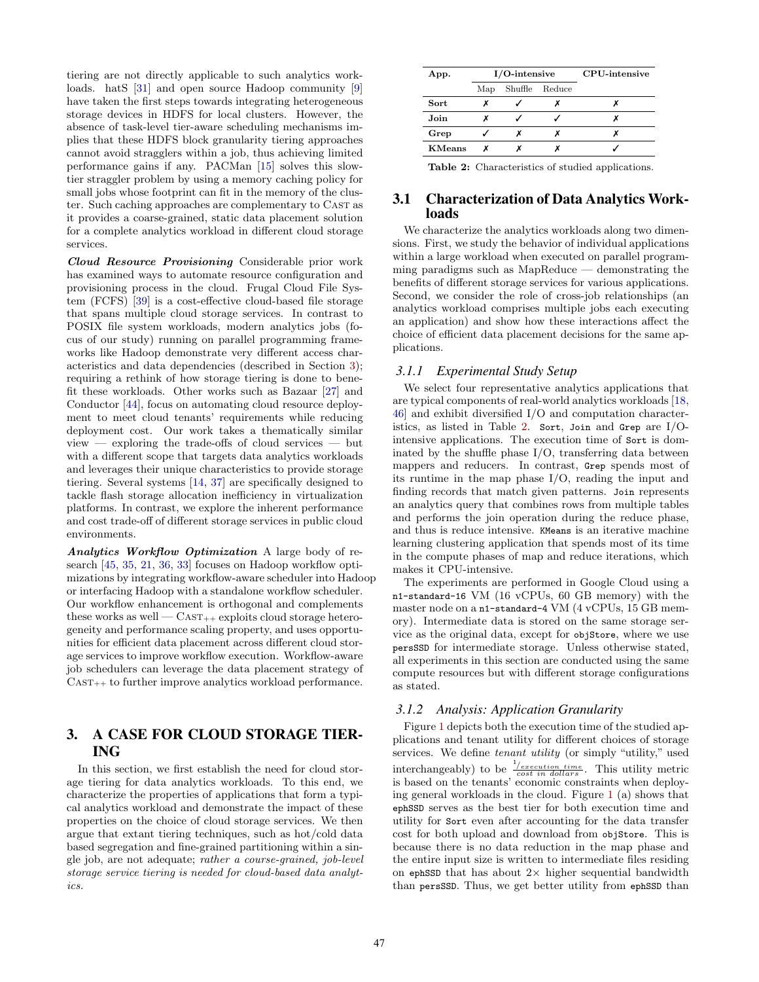tiering are not directly applicable to such analytics workloads. hatS [\[31\]](#page-11-8) and open source Hadoop community [\[9\]](#page-10-9) have taken the first steps towards integrating heterogeneous storage devices in HDFS for local clusters. However, the absence of task-level tier-aware scheduling mechanisms implies that these HDFS block granularity tiering approaches cannot avoid stragglers within a job, thus achieving limited performance gains if any. PACMan [\[15\]](#page-10-8) solves this slowtier straggler problem by using a memory caching policy for small jobs whose footprint can fit in the memory of the cluster. Such caching approaches are complementary to CAST as it provides a coarse-grained, static data placement solution for a complete analytics workload in different cloud storage services.

Cloud Resource Provisioning Considerable prior work has examined ways to automate resource configuration and provisioning process in the cloud. Frugal Cloud File System (FCFS) [\[39\]](#page-11-9) is a cost-effective cloud-based file storage that spans multiple cloud storage services. In contrast to POSIX file system workloads, modern analytics jobs (focus of our study) running on parallel programming frameworks like Hadoop demonstrate very different access characteristics and data dependencies (described in Section [3\)](#page-2-0); requiring a rethink of how storage tiering is done to benefit these workloads. Other works such as Bazaar [\[27\]](#page-11-10) and Conductor [\[44\]](#page-11-11), focus on automating cloud resource deployment to meet cloud tenants' requirements while reducing deployment cost. Our work takes a thematically similar view — exploring the trade-offs of cloud services — but with a different scope that targets data analytics workloads and leverages their unique characteristics to provide storage tiering. Several systems [\[14,](#page-10-10) [37\]](#page-11-12) are specifically designed to tackle flash storage allocation inefficiency in virtualization platforms. In contrast, we explore the inherent performance and cost trade-off of different storage services in public cloud environments.

Analytics Workflow Optimization A large body of research [\[45,](#page-11-13) [35,](#page-11-14) [21,](#page-11-15) [36,](#page-11-16) [33\]](#page-11-17) focuses on Hadoop workflow optimizations by integrating workflow-aware scheduler into Hadoop or interfacing Hadoop with a standalone workflow scheduler. Our workflow enhancement is orthogonal and complements these works as well  $-$  CAST<sub>++</sub> exploits cloud storage heterogeneity and performance scaling property, and uses opportunities for efficient data placement across different cloud storage services to improve workflow execution. Workflow-aware job schedulers can leverage the data placement strategy of  $CAST_{++}$  to further improve analytics workload performance.

# <span id="page-2-0"></span>3. A CASE FOR CLOUD STORAGE TIER-ING

In this section, we first establish the need for cloud storage tiering for data analytics workloads. To this end, we characterize the properties of applications that form a typical analytics workload and demonstrate the impact of these properties on the choice of cloud storage services. We then argue that extant tiering techniques, such as hot/cold data based segregation and fine-grained partitioning within a single job, are not adequate; rather a course-grained, job-level storage service tiering is needed for cloud-based data analytics.

<span id="page-2-1"></span>

| App.                                                                                   | $I/O$ -intensive |   |                | <b>CPU-intensive</b> |  |
|----------------------------------------------------------------------------------------|------------------|---|----------------|----------------------|--|
|                                                                                        | Map              |   | Shuffle Reduce |                      |  |
| Sort                                                                                   |                  |   |                |                      |  |
| Join                                                                                   |                  |   |                |                      |  |
| Grep                                                                                   |                  |   |                |                      |  |
| KMeans                                                                                 | x                | х |                |                      |  |
| $\mathbf{m}$ . Let $\mathbf{a}$ . Obtain a constant of the start of a small continuous |                  |   |                |                      |  |

#### Table 2: Characteristics of studied applications.

# 3.1 Characterization of Data Analytics Workloads

We characterize the analytics workloads along two dimensions. First, we study the behavior of individual applications within a large workload when executed on parallel programming paradigms such as MapReduce — demonstrating the benefits of different storage services for various applications. Second, we consider the role of cross-job relationships (an analytics workload comprises multiple jobs each executing an application) and show how these interactions affect the choice of efficient data placement decisions for the same applications.

### *3.1.1 Experimental Study Setup*

We select four representative analytics applications that are typical components of real-world analytics workloads [\[18,](#page-11-1) [46\]](#page-11-18) and exhibit diversified I/O and computation characteristics, as listed in Table [2.](#page-2-1) Sort, Join and Grep are I/Ointensive applications. The execution time of Sort is dominated by the shuffle phase I/O, transferring data between mappers and reducers. In contrast, Grep spends most of its runtime in the map phase I/O, reading the input and finding records that match given patterns. Join represents an analytics query that combines rows from multiple tables and performs the join operation during the reduce phase, and thus is reduce intensive. KMeans is an iterative machine learning clustering application that spends most of its time in the compute phases of map and reduce iterations, which makes it CPU-intensive.

The experiments are performed in Google Cloud using a n1-standard-16 VM (16 vCPUs, 60 GB memory) with the master node on a n1-standard-4 VM (4 vCPUs, 15 GB memory). Intermediate data is stored on the same storage service as the original data, except for objStore, where we use persSSD for intermediate storage. Unless otherwise stated, all experiments in this section are conducted using the same compute resources but with different storage configurations as stated.

### <span id="page-2-2"></span>*3.1.2 Analysis: Application Granularity*

Figure [1](#page-3-0) depicts both the execution time of the studied applications and tenant utility for different choices of storage services. We define *tenant utility* (or simply "utility," used interchangeably) to be  $\frac{1/_{excitation\_time}}{cost \text{ in dollars}}$ . This utility metric is based on the tenants' economic constraints when deploying general workloads in the cloud. Figure [1](#page-3-0) (a) shows that ephSSD serves as the best tier for both execution time and utility for Sort even after accounting for the data transfer cost for both upload and download from objStore. This is because there is no data reduction in the map phase and the entire input size is written to intermediate files residing on ephSSD that has about  $2\times$  higher sequential bandwidth than persSSD. Thus, we get better utility from ephSSD than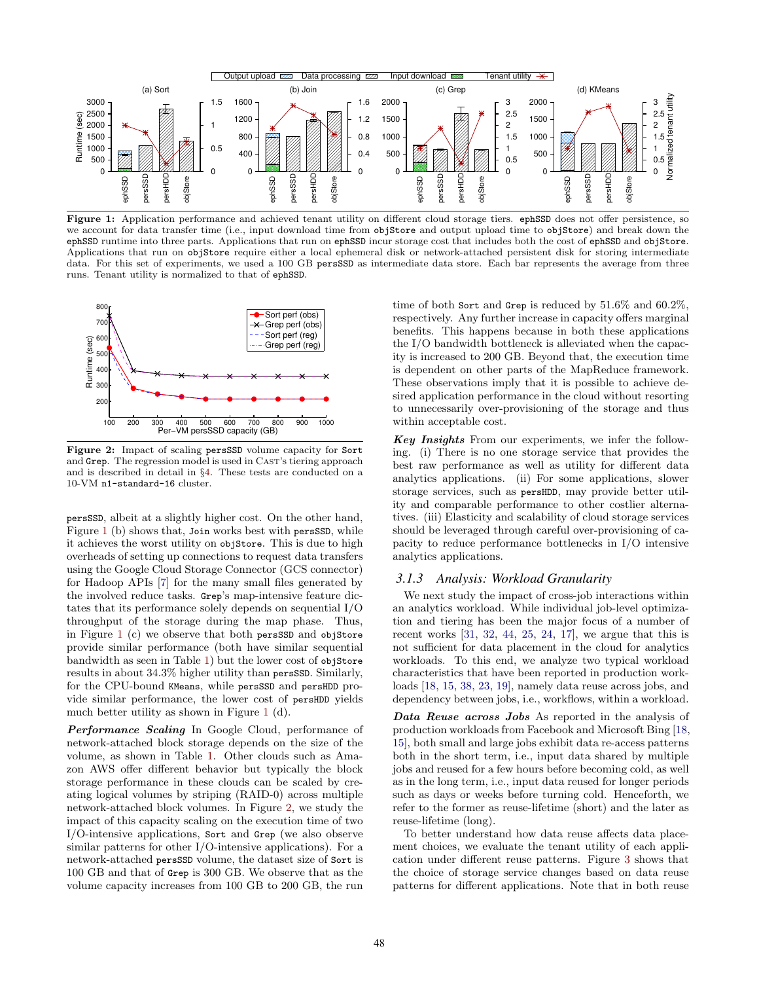<span id="page-3-0"></span>

Figure 1: Application performance and achieved tenant utility on different cloud storage tiers. ephSSD does not offer persistence, so we account for data transfer time (i.e., input download time from objStore and output upload time to objStore) and break down the ephSSD runtime into three parts. Applications that run on ephSSD incur storage cost that includes both the cost of ephSSD and objStore. Applications that run on objStore require either a local ephemeral disk or network-attached persistent disk for storing intermediate data. For this set of experiments, we used a 100 GB persSSD as intermediate data store. Each bar represents the average from three runs. Tenant utility is normalized to that of ephSSD.

<span id="page-3-1"></span>

Figure 2: Impact of scaling persSSD volume capacity for Sort and Grep. The regression model is used in CAST's tiering approach and is described in detail in §[4](#page-5-0). These tests are conducted on a 10-VM n1-standard-16 cluster.

persSSD, albeit at a slightly higher cost. On the other hand, Figure [1](#page-3-0) (b) shows that, Join works best with persSSD, while it achieves the worst utility on objStore. This is due to high overheads of setting up connections to request data transfers using the Google Cloud Storage Connector (GCS connector) for Hadoop APIs [\[7\]](#page-10-11) for the many small files generated by the involved reduce tasks. Grep's map-intensive feature dictates that its performance solely depends on sequential I/O throughput of the storage during the map phase. Thus, in Figure [1](#page-3-0) (c) we observe that both persSSD and objStore provide similar performance (both have similar sequential bandwidth as seen in Table [1\)](#page-0-0) but the lower cost of objStore results in about 34.3% higher utility than persSSD. Similarly, for the CPU-bound KMeans, while persSSD and persHDD provide similar performance, the lower cost of persHDD yields much better utility as shown in Figure [1](#page-3-0) (d).

Performance Scaling In Google Cloud, performance of network-attached block storage depends on the size of the volume, as shown in Table [1.](#page-0-0) Other clouds such as Amazon AWS offer different behavior but typically the block storage performance in these clouds can be scaled by creating logical volumes by striping (RAID-0) across multiple network-attached block volumes. In Figure [2,](#page-3-1) we study the impact of this capacity scaling on the execution time of two I/O-intensive applications, Sort and Grep (we also observe similar patterns for other I/O-intensive applications). For a network-attached persSSD volume, the dataset size of Sort is 100 GB and that of Grep is 300 GB. We observe that as the volume capacity increases from 100 GB to 200 GB, the run time of both Sort and Grep is reduced by 51.6% and 60.2%, respectively. Any further increase in capacity offers marginal benefits. This happens because in both these applications the I/O bandwidth bottleneck is alleviated when the capacity is increased to 200 GB. Beyond that, the execution time is dependent on other parts of the MapReduce framework. These observations imply that it is possible to achieve desired application performance in the cloud without resorting to unnecessarily over-provisioning of the storage and thus within acceptable cost.

Key Insights From our experiments, we infer the following. (i) There is no one storage service that provides the best raw performance as well as utility for different data analytics applications. (ii) For some applications, slower storage services, such as persHDD, may provide better utility and comparable performance to other costlier alternatives. (iii) Elasticity and scalability of cloud storage services should be leveraged through careful over-provisioning of capacity to reduce performance bottlenecks in I/O intensive analytics applications.

### <span id="page-3-2"></span>*3.1.3 Analysis: Workload Granularity*

We next study the impact of cross-job interactions within an analytics workload. While individual job-level optimization and tiering has been the major focus of a number of recent works [\[31,](#page-11-8) [32,](#page-11-19) [44,](#page-11-11) [25,](#page-11-20) [24,](#page-11-21) [17\]](#page-11-22), we argue that this is not sufficient for data placement in the cloud for analytics workloads. To this end, we analyze two typical workload characteristics that have been reported in production workloads [\[18,](#page-11-1) [15,](#page-10-8) [38,](#page-11-23) [23,](#page-11-6) [19\]](#page-11-24), namely data reuse across jobs, and dependency between jobs, i.e., workflows, within a workload.

Data Reuse across Jobs As reported in the analysis of production workloads from Facebook and Microsoft Bing [\[18,](#page-11-1) [15\]](#page-10-8), both small and large jobs exhibit data re-access patterns both in the short term, i.e., input data shared by multiple jobs and reused for a few hours before becoming cold, as well as in the long term, i.e., input data reused for longer periods such as days or weeks before turning cold. Henceforth, we refer to the former as reuse-lifetime (short) and the later as reuse-lifetime (long).

To better understand how data reuse affects data placement choices, we evaluate the tenant utility of each application under different reuse patterns. Figure [3](#page-4-0) shows that the choice of storage service changes based on data reuse patterns for different applications. Note that in both reuse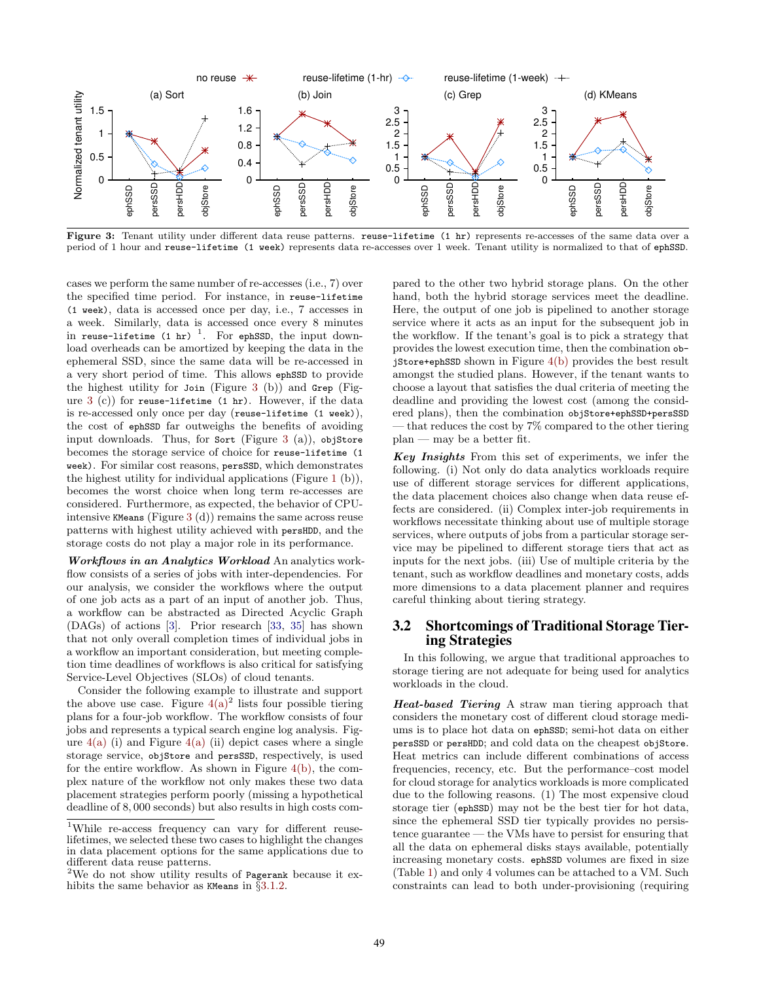<span id="page-4-0"></span>

Figure 3: Tenant utility under different data reuse patterns. reuse-lifetime (1 hr) represents re-accesses of the same data over a period of 1 hour and reuse-lifetime (1 week) represents data re-accesses over 1 week. Tenant utility is normalized to that of ephSSD.

cases we perform the same number of re-accesses (i.e., 7) over the specified time period. For instance, in reuse-lifetime (1 week), data is accessed once per day, i.e., 7 accesses in a week. Similarly, data is accessed once every 8 minutes in reuse-lifetime (1 hr)  $^1$ . For ephSSD, the input download overheads can be amortized by keeping the data in the ephemeral SSD, since the same data will be re-accessed in a very short period of time. This allows ephSSD to provide the highest utility for Join (Figure [3](#page-4-0) (b)) and Grep (Figure  $3(c)$  $3(c)$  for reuse-lifetime (1 hr). However, if the data is re-accessed only once per day (reuse-lifetime (1 week)), the cost of ephSSD far outweighs the benefits of avoiding input downloads. Thus, for Sort (Figure  $3$  (a)), objStore becomes the storage service of choice for reuse-lifetime (1 week). For similar cost reasons, persSSD, which demonstrates the highest utility for individual applications (Figure [1](#page-3-0) (b)), becomes the worst choice when long term re-accesses are considered. Furthermore, as expected, the behavior of CPUintensive KMeans (Figure [3](#page-4-0) (d)) remains the same across reuse patterns with highest utility achieved with persHDD, and the storage costs do not play a major role in its performance.

Workflows in an Analytics Workload An analytics workflow consists of a series of jobs with inter-dependencies. For our analysis, we consider the workflows where the output of one job acts as a part of an input of another job. Thus, a workflow can be abstracted as Directed Acyclic Graph (DAGs) of actions [\[3\]](#page-10-12). Prior research [\[33,](#page-11-17) [35\]](#page-11-14) has shown that not only overall completion times of individual jobs in a workflow an important consideration, but meeting completion time deadlines of workflows is also critical for satisfying Service-Level Objectives (SLOs) of cloud tenants.

Consider the following example to illustrate and support the above use case. Figure  $4(a)^2$  $4(a)^2$  lists four possible tiering plans for a four-job workflow. The workflow consists of four jobs and represents a typical search engine log analysis. Figure  $4(a)$  (i) and Figure  $4(a)$  (ii) depict cases where a single storage service, objStore and persSSD, respectively, is used for the entire workflow. As shown in Figure [4\(b\),](#page-5-2) the complex nature of the workflow not only makes these two data placement strategies perform poorly (missing a hypothetical deadline of 8, 000 seconds) but also results in high costs compared to the other two hybrid storage plans. On the other hand, both the hybrid storage services meet the deadline. Here, the output of one job is pipelined to another storage service where it acts as an input for the subsequent job in the workflow. If the tenant's goal is to pick a strategy that provides the lowest execution time, then the combination objStore+ephSSD shown in Figure [4\(b\)](#page-5-2) provides the best result amongst the studied plans. However, if the tenant wants to choose a layout that satisfies the dual criteria of meeting the deadline and providing the lowest cost (among the considered plans), then the combination objStore+ephSSD+persSSD — that reduces the cost by  $7\%$  compared to the other tiering plan — may be a better fit.

Key Insights From this set of experiments, we infer the following. (i) Not only do data analytics workloads require use of different storage services for different applications, the data placement choices also change when data reuse effects are considered. (ii) Complex inter-job requirements in workflows necessitate thinking about use of multiple storage services, where outputs of jobs from a particular storage service may be pipelined to different storage tiers that act as inputs for the next jobs. (iii) Use of multiple criteria by the tenant, such as workflow deadlines and monetary costs, adds more dimensions to a data placement planner and requires careful thinking about tiering strategy.

# 3.2 Shortcomings of Traditional Storage Tiering Strategies

In this following, we argue that traditional approaches to storage tiering are not adequate for being used for analytics workloads in the cloud.

Heat-based Tiering A straw man tiering approach that considers the monetary cost of different cloud storage mediums is to place hot data on ephSSD; semi-hot data on either persSSD or persHDD; and cold data on the cheapest objStore. Heat metrics can include different combinations of access frequencies, recency, etc. But the performance–cost model for cloud storage for analytics workloads is more complicated due to the following reasons. (1) The most expensive cloud storage tier (ephSSD) may not be the best tier for hot data, since the ephemeral SSD tier typically provides no persistence guarantee — the VMs have to persist for ensuring that all the data on ephemeral disks stays available, potentially increasing monetary costs. ephSSD volumes are fixed in size (Table [1\)](#page-0-0) and only 4 volumes can be attached to a VM. Such constraints can lead to both under-provisioning (requiring

<sup>&</sup>lt;sup>1</sup>While re-access frequency can vary for different reuselifetimes, we selected these two cases to highlight the changes in data placement options for the same applications due to different data reuse patterns.<br><sup>2</sup>We do not show utility results of Pagerank because it ex-

hibits the same behavior as KMeans in §[3.1.2](#page-2-2).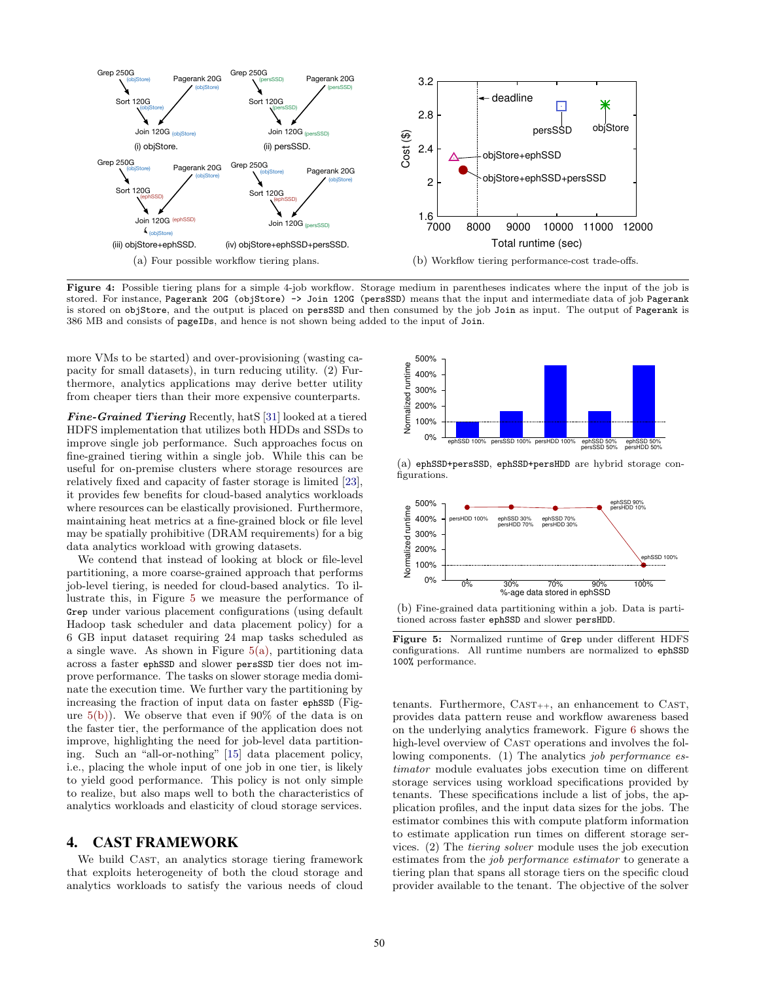<span id="page-5-1"></span>

Figure 4: Possible tiering plans for a simple 4-job workflow. Storage medium in parentheses indicates where the input of the job is stored. For instance, Pagerank 20G (objStore) -> Join 120G (persSSD) means that the input and intermediate data of job Pagerank is stored on objStore, and the output is placed on persSSD and then consumed by the job Join as input. The output of Pagerank is 386 MB and consists of pageIDs, and hence is not shown being added to the input of Join.

more VMs to be started) and over-provisioning (wasting capacity for small datasets), in turn reducing utility. (2) Furthermore, analytics applications may derive better utility from cheaper tiers than their more expensive counterparts.

Fine-Grained Tiering Recently, hatS [\[31\]](#page-11-8) looked at a tiered HDFS implementation that utilizes both HDDs and SSDs to improve single job performance. Such approaches focus on fine-grained tiering within a single job. While this can be useful for on-premise clusters where storage resources are relatively fixed and capacity of faster storage is limited [\[23\]](#page-11-6), it provides few benefits for cloud-based analytics workloads where resources can be elastically provisioned. Furthermore, maintaining heat metrics at a fine-grained block or file level may be spatially prohibitive (DRAM requirements) for a big data analytics workload with growing datasets.

We contend that instead of looking at block or file-level partitioning, a more coarse-grained approach that performs job-level tiering, is needed for cloud-based analytics. To illustrate this, in Figure [5](#page-5-3) we measure the performance of Grep under various placement configurations (using default Hadoop task scheduler and data placement policy) for a 6 GB input dataset requiring 24 map tasks scheduled as a single wave. As shown in Figure  $5(a)$ , partitioning data across a faster ephSSD and slower persSSD tier does not improve performance. The tasks on slower storage media dominate the execution time. We further vary the partitioning by increasing the fraction of input data on faster ephSSD (Figure  $5(b)$ ). We observe that even if  $90\%$  of the data is on the faster tier, the performance of the application does not improve, highlighting the need for job-level data partitioning. Such an "all-or-nothing" [\[15\]](#page-10-8) data placement policy, i.e., placing the whole input of one job in one tier, is likely to yield good performance. This policy is not only simple to realize, but also maps well to both the characteristics of analytics workloads and elasticity of cloud storage services.

# <span id="page-5-0"></span>4. CAST FRAMEWORK

We build CAST, an analytics storage tiering framework that exploits heterogeneity of both the cloud storage and analytics workloads to satisfy the various needs of cloud

<span id="page-5-4"></span><span id="page-5-3"></span><span id="page-5-2"></span>

(a) ephSSD+persSSD, ephSSD+persHDD are hybrid storage configurations.



<span id="page-5-5"></span>(b) Fine-grained data partitioning within a job. Data is partitioned across faster ephSSD and slower persHDD.

Figure 5: Normalized runtime of Grep under different HDFS configurations. All runtime numbers are normalized to ephSSD 100% performance.

tenants. Furthermore,  $CAST_{++}$ , an enhancement to  $CAST$ , provides data pattern reuse and workflow awareness based on the underlying analytics framework. Figure [6](#page-6-0) shows the high-level overview of CAST operations and involves the following components. (1) The analytics *job performance es*timator module evaluates jobs execution time on different storage services using workload specifications provided by tenants. These specifications include a list of jobs, the application profiles, and the input data sizes for the jobs. The estimator combines this with compute platform information to estimate application run times on different storage services. (2) The tiering solver module uses the job execution estimates from the job performance estimator to generate a tiering plan that spans all storage tiers on the specific cloud provider available to the tenant. The objective of the solver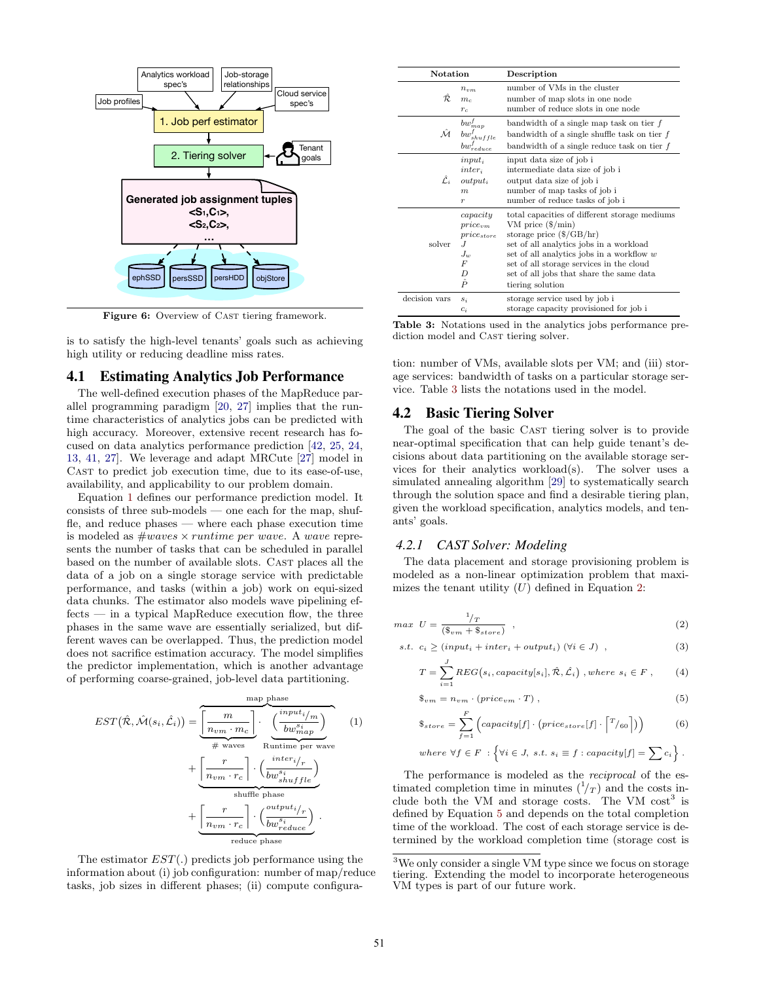<span id="page-6-0"></span>

Figure 6: Overview of CAST tiering framework.

is to satisfy the high-level tenants' goals such as achieving high utility or reducing deadline miss rates.

### 4.1 Estimating Analytics Job Performance

The well-defined execution phases of the MapReduce parallel programming paradigm [\[20,](#page-11-25) [27\]](#page-11-10) implies that the runtime characteristics of analytics jobs can be predicted with high accuracy. Moreover, extensive recent research has focused on data analytics performance prediction [\[42,](#page-11-26) [25,](#page-11-20) [24,](#page-11-21) [13,](#page-10-13) [41,](#page-11-27) [27\]](#page-11-10). We leverage and adapt MRCute [\[27\]](#page-11-10) model in CAST to predict job execution time, due to its ease-of-use, availability, and applicability to our problem domain.

Equation [1](#page-6-1) defines our performance prediction model. It consists of three sub-models — one each for the map, shuffle, and reduce phases — where each phase execution time is modeled as  $\#waves \times runtime$  per wave. A wave represents the number of tasks that can be scheduled in parallel based on the number of available slots. CAST places all the data of a job on a single storage service with predictable performance, and tasks (within a job) work on equi-sized data chunks. The estimator also models wave pipelining effects — in a typical MapReduce execution flow, the three phases in the same wave are essentially serialized, but different waves can be overlapped. Thus, the prediction model does not sacrifice estimation accuracy. The model simplifies the predictor implementation, which is another advantage of performing coarse-grained, job-level data partitioning.

$$
EST(\hat{\mathcal{R}}, \hat{\mathcal{M}}(s_i, \hat{\mathcal{L}}_i)) = \underbrace{\boxed{\frac{m}{n_{vm}} \cdot m_c}}_{\text{# waves}} \cdot \underbrace{\left(\frac{input_i}{bw_{map}^{si}}\right)}_{\text{Runtime per wave}} \quad (1)
$$
\n
$$
+ \underbrace{\boxed{\frac{r}{n_{vm} \cdot r_c}} \cdot \left(\frac{inter_i}{bw_{shuffle}^{si}}\right)}_{\text{shuffle phase}} + \underbrace{\boxed{\frac{r}{n_{vm} \cdot r_c}} \cdot \left(\frac{output_i}{bw_{reduce}^{si}}\right)}_{\text{reduce phase}}
$$

The estimator  $EST(.)$  predicts job performance using the information about (i) job configuration: number of map/reduce tasks, job sizes in different phases; (ii) compute configura-

<span id="page-6-2"></span>

| Notation              |                                                                                   | Description                                                                                                                                                                                                                                                                                                                 |  |
|-----------------------|-----------------------------------------------------------------------------------|-----------------------------------------------------------------------------------------------------------------------------------------------------------------------------------------------------------------------------------------------------------------------------------------------------------------------------|--|
| Ä                     | $n_{nm}$<br>m <sub>c</sub><br>$r_c$                                               | number of VMs in the cluster<br>number of map slots in one node<br>number of reduce slots in one node                                                                                                                                                                                                                       |  |
| Ĥ                     | $bw_{map}^f$<br>$bw_{shuffle}^f$<br>$bw_{reduce}^{\cal J}$                        | bandwidth of a single map task on tier $f$<br>bandwidth of a single shuffle task on tier $f$<br>bandwidth of a single reduce task on tier $f$                                                                                                                                                                               |  |
| $\hat{\mathcal{L}}_i$ | $input_i$<br>$inter_i$<br>$output_i$<br>$\boldsymbol{m}$<br>$\boldsymbol{r}$      | input data size of job i<br>intermediate data size of job i<br>output data size of job i<br>number of map tasks of job i<br>number of reduce tasks of job i                                                                                                                                                                 |  |
| solver                | capacity<br>$price_{vm}$<br>$price_{store}$<br>.І<br>$J_w$<br>F<br>D<br>$\hat{P}$ | total capacities of different storage mediums<br>VM price $(\frac{2}{\text{min}})$<br>storage price $(\frac{6}{GB/hr})$<br>set of all analytics jobs in a workload<br>set of all analytics jobs in a workflow w<br>set of all storage services in the cloud<br>set of all jobs that share the same data<br>tiering solution |  |
| decision vars         | $s_i$<br>$c_i$                                                                    | storage service used by job i<br>storage capacity provisioned for job i                                                                                                                                                                                                                                                     |  |

Table 3: Notations used in the analytics jobs performance prediction model and CAST tiering solver.

tion: number of VMs, available slots per VM; and (iii) storage services: bandwidth of tasks on a particular storage service. Table [3](#page-6-2) lists the notations used in the model.

### 4.2 Basic Tiering Solver

The goal of the basic CAST tiering solver is to provide near-optimal specification that can help guide tenant's decisions about data partitioning on the available storage services for their analytics workload(s). The solver uses a simulated annealing algorithm [\[29\]](#page-11-28) to systematically search through the solution space and find a desirable tiering plan, given the workload specification, analytics models, and tenants' goals.

# *4.2.1 CAST Solver: Modeling*

The data placement and storage provisioning problem is modeled as a non-linear optimization problem that maximizes the tenant utility  $(U)$  defined in Equation [2:](#page-6-3)

$$
max \ \ U = \frac{1/r}{(\$_{vm} + \$_{store})}, \tag{2}
$$

$$
s.t. \ c_i \geq (input_i + inter_i + output_i) \ (\forall i \in J) \tag{3}
$$

<span id="page-6-7"></span><span id="page-6-6"></span><span id="page-6-3"></span>
$$
T = \sum_{i=1}^{J} REG(s_i, capacity[s_i], \hat{\mathcal{R}}, \hat{\mathcal{L}}_i), where s_i \in F , \qquad (4)
$$

<span id="page-6-4"></span>
$$
\mathcal{E}_{vm} = n_{vm} \cdot (price_{vm} \cdot T) , \qquad (5)
$$

<span id="page-6-5"></span><span id="page-6-1"></span>
$$
\mathbf{\$}_{store} = \sum_{f=1}^{F} \left( capacity[f] \cdot (price_{store}[f] \cdot \left\lceil \frac{T}{60} \right\rceil) \right) \tag{6}
$$

where 
$$
\forall f \in F : \{ \forall i \in J, s.t. s_i \equiv f : capacity[f] = \sum c_i \}.
$$

The performance is modeled as the *reciprocal* of the estimated completion time in minutes  $\binom{1}{T}$  and the costs include both the VM and storage costs. The VM  $cost^3$  is defined by Equation [5](#page-6-4) and depends on the total completion time of the workload. The cost of each storage service is determined by the workload completion time (storage cost is

<sup>3</sup>We only consider a single VM type since we focus on storage tiering. Extending the model to incorporate heterogeneous VM types is part of our future work.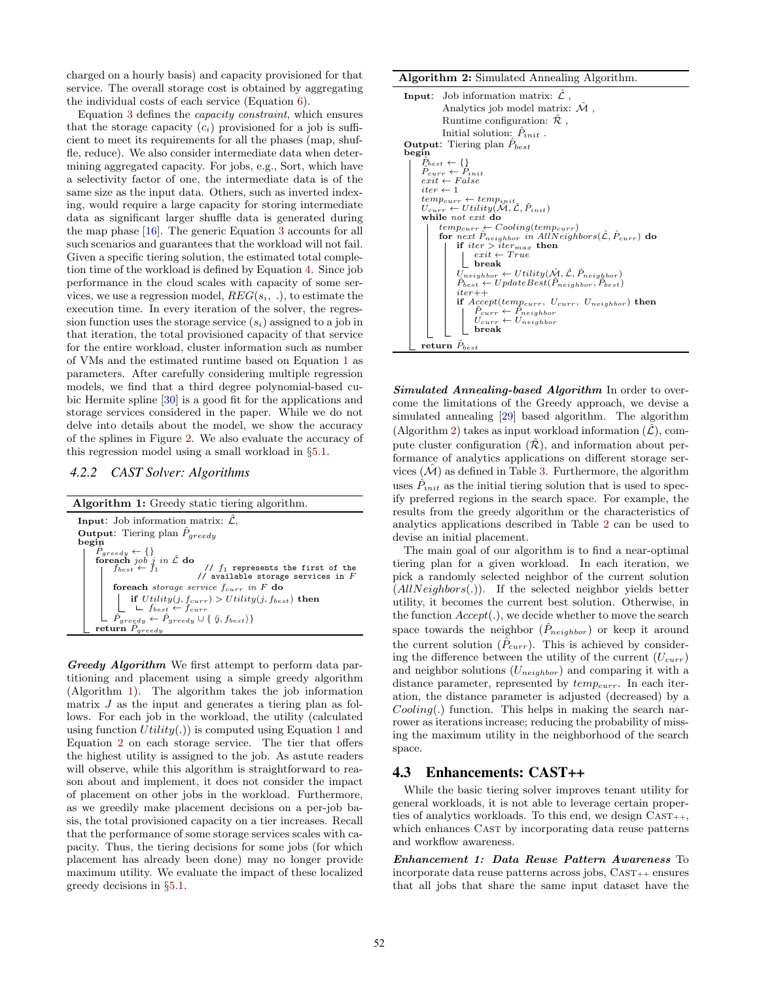charged on a hourly basis) and capacity provisioned for that service. The overall storage cost is obtained by aggregating the individual costs of each service (Equation [6\)](#page-6-5).

Equation [3](#page-6-6) defines the capacity constraint, which ensures that the storage capacity  $(c_i)$  provisioned for a job is sufficient to meet its requirements for all the phases (map, shuffle, reduce). We also consider intermediate data when determining aggregated capacity. For jobs, e.g., Sort, which have a selectivity factor of one, the intermediate data is of the same size as the input data. Others, such as inverted indexing, would require a large capacity for storing intermediate data as significant larger shuffle data is generated during the map phase [\[16\]](#page-11-29). The generic Equation [3](#page-6-6) accounts for all such scenarios and guarantees that the workload will not fail. Given a specific tiering solution, the estimated total completion time of the workload is defined by Equation [4.](#page-6-7) Since job performance in the cloud scales with capacity of some services, we use a regression model,  $REG(s_i, .)$ , to estimate the execution time. In every iteration of the solver, the regression function uses the storage service  $(s_i)$  assigned to a job in that iteration, the total provisioned capacity of that service for the entire workload, cluster information such as number of VMs and the estimated runtime based on Equation [1](#page-6-1) as parameters. After carefully considering multiple regression models, we find that a third degree polynomial-based cubic Hermite spline [\[30\]](#page-11-30) is a good fit for the applications and storage services considered in the paper. While we do not delve into details about the model, we show the accuracy of the splines in Figure [2.](#page-3-1) We also evaluate the accuracy of this regression model using a small workload in §[5.1.](#page-8-0)

# *4.2.2 CAST Solver: Algorithms*



<span id="page-7-0"></span>Greedy Algorithm We first attempt to perform data partitioning and placement using a simple greedy algorithm (Algorithm [1\)](#page-7-0). The algorithm takes the job information matrix  $J$  as the input and generates a tiering plan as follows. For each job in the workload, the utility (calculated using function  $Utility(.)$  is computed using Equation [1](#page-6-1) and Equation [2](#page-6-3) on each storage service. The tier that offers the highest utility is assigned to the job. As astute readers will observe, while this algorithm is straightforward to reason about and implement, it does not consider the impact of placement on other jobs in the workload. Furthermore, as we greedily make placement decisions on a per-job basis, the total provisioned capacity on a tier increases. Recall that the performance of some storage services scales with capacity. Thus, the tiering decisions for some jobs (for which placement has already been done) may no longer provide maximum utility. We evaluate the impact of these localized greedy decisions in §[5.1](#page-8-0).

#### Algorithm 2: Simulated Annealing Algorithm.



<span id="page-7-1"></span>Simulated Annealing-based Algorithm In order to overcome the limitations of the Greedy approach, we devise a simulated annealing [\[29\]](#page-11-28) based algorithm. The algorithm (Algorithm [2\)](#page-7-1) takes as input workload information  $(\hat{\mathcal{L}})$ , compute cluster configuration  $(\hat{\mathcal{R}})$ , and information about performance of analytics applications on different storage services  $(M)$  as defined in Table [3.](#page-6-2) Furthermore, the algorithm uses  $\ddot{P}_{init}$  as the initial tiering solution that is used to specify preferred regions in the search space. For example, the results from the greedy algorithm or the characteristics of analytics applications described in Table [2](#page-2-1) can be used to devise an initial placement.

The main goal of our algorithm is to find a near-optimal tiering plan for a given workload. In each iteration, we pick a randomly selected neighbor of the current solution  $(AllNeighbors(.)).$  If the selected neighbor yields better utility, it becomes the current best solution. Otherwise, in the function  $Accept(.)$ , we decide whether to move the search space towards the neighbor  $(\hat{P}_{neighbor})$  or keep it around the current solution  $(\hat{P}_{curr})$ . This is achieved by considering the difference between the utility of the current  $(U_{curr})$ and neighbor solutions  $(U_{neiahbor})$  and comparing it with a distance parameter, represented by  $temp_{curr}$ . In each iteration, the distance parameter is adjusted (decreased) by a  $Cooling(.)$  function. This helps in making the search narrower as iterations increase; reducing the probability of missing the maximum utility in the neighborhood of the search space.

# 4.3 Enhancements: CAST++

While the basic tiering solver improves tenant utility for general workloads, it is not able to leverage certain properties of analytics workloads. To this end, we design  $CAST_{++}$ , which enhances CAST by incorporating data reuse patterns and workflow awareness.

Enhancement 1: Data Reuse Pattern Awareness To incorporate data reuse patterns across jobs,  $C_AST_{++}$  ensures that all jobs that share the same input dataset have the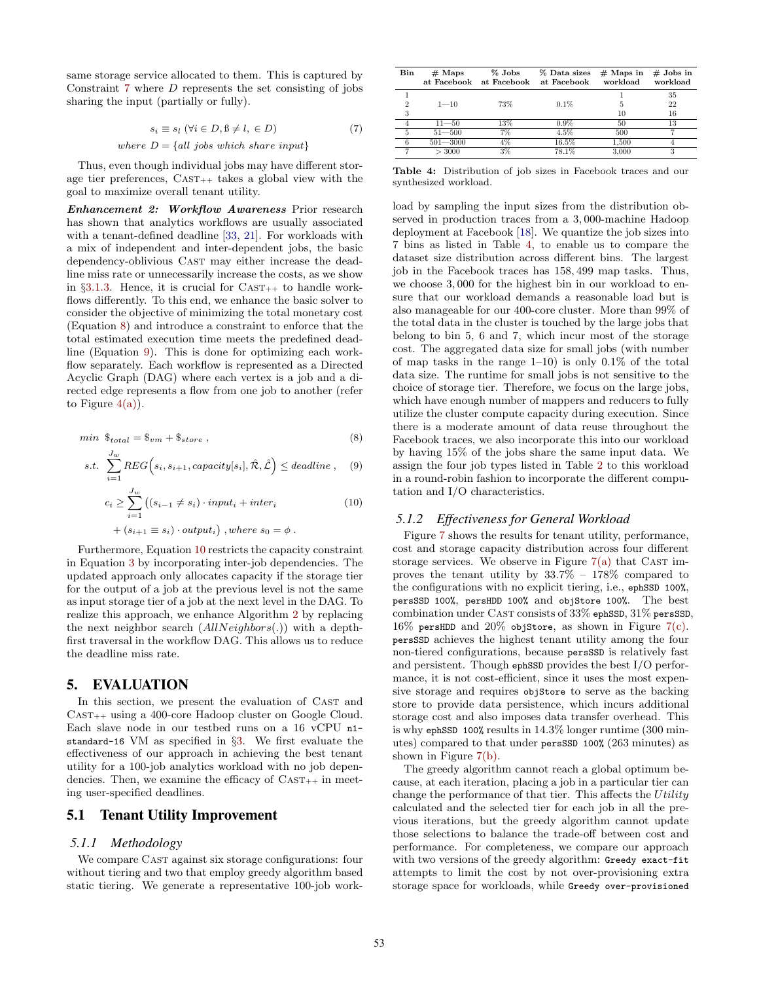same storage service allocated to them. This is captured by Constraint [7](#page-8-1) where D represents the set consisting of jobs sharing the input (partially or fully).

$$
s_i \equiv s_l \ (\forall i \in D, \mathbf{B} \neq l, \in D)
$$
\n
$$
where \ D = \{all \ jobs \ which \ share \ input \} \tag{7}
$$

Thus, even though individual jobs may have different storage tier preferences,  $CAST_{++}$  takes a global view with the goal to maximize overall tenant utility.

Enhancement 2: Workflow Awareness Prior research has shown that analytics workflows are usually associated with a tenant-defined deadline [\[33,](#page-11-17) [21\]](#page-11-15). For workloads with a mix of independent and inter-dependent jobs, the basic dependency-oblivious CAST may either increase the deadline miss rate or unnecessarily increase the costs, as we show in  $\S 3.1.3$  $\S 3.1.3$ . Hence, it is crucial for CAST<sub>++</sub> to handle workflows differently. To this end, we enhance the basic solver to consider the objective of minimizing the total monetary cost (Equation [8\)](#page-8-2) and introduce a constraint to enforce that the total estimated execution time meets the predefined deadline (Equation [9\)](#page-8-3). This is done for optimizing each workflow separately. Each workflow is represented as a Directed Acyclic Graph (DAG) where each vertex is a job and a directed edge represents a flow from one job to another (refer to Figure  $4(a)$ ).

$$
min \ \mathcal{S}_{total} = \mathcal{S}_{vm} + \mathcal{S}_{store} \ , \tag{8}
$$

$$
s.t. \sum_{i=1}^{J_w} REG(s_i, s_{i+1}, capacity[s_i], \hat{\mathcal{R}}, \hat{\mathcal{L}}) \leq deadline , \quad (9)
$$

$$
c_i \ge \sum_{i=1}^{J_w} \left( (s_{i-1} \ne s_i) \cdot input_i + inter_i \right) \tag{10}
$$

 $+(s_{i+1} \equiv s_i) \cdot output_i), where s_0 = \phi.$ 

Furthermore, Equation [10](#page-8-4) restricts the capacity constraint in Equation [3](#page-6-6) by incorporating inter-job dependencies. The updated approach only allocates capacity if the storage tier for the output of a job at the previous level is not the same as input storage tier of a job at the next level in the DAG. To realize this approach, we enhance Algorithm [2](#page-7-1) by replacing the next neighbor search  $(AllNeighbors(.))$  with a depthfirst traversal in the workflow DAG. This allows us to reduce the deadline miss rate.

# 5. EVALUATION

In this section, we present the evaluation of CAST and CAST<sub>++</sub> using a 400-core Hadoop cluster on Google Cloud. Each slave node in our testbed runs on a 16 vCPU n1 standard-16 VM as specified in §[3.](#page-2-0) We first evaluate the effectiveness of our approach in achieving the best tenant utility for a 100-job analytics workload with no job dependencies. Then, we examine the efficacy of  $C_AST_{++}$  in meeting user-specified deadlines.

# <span id="page-8-0"></span>5.1 Tenant Utility Improvement

### *5.1.1 Methodology*

We compare CAST against six storage configurations: four without tiering and two that employ greedy algorithm based static tiering. We generate a representative 100-job work-

<span id="page-8-5"></span>

| $_{\rm Bin}$ | $#$ Maps     | $%$ Jobs<br>at Facebook at Facebook | % Data sizes<br>at Facebook | $#$ Maps in<br>workload | $#$ Jobs in<br>workload |
|--------------|--------------|-------------------------------------|-----------------------------|-------------------------|-------------------------|
|              |              |                                     |                             |                         | 35                      |
| 2            | $1 - 10$     | 73%                                 | $0.1\%$                     | 5                       | 22                      |
| 3            |              |                                     |                             | 10                      | 16                      |
|              | $11 - 50$    | 13%                                 | $0.9\%$                     | 50                      | 13                      |
| 5            | $51 - 500$   | $7\%$                               | $4.5\%$                     | 500                     |                         |
| 6            | $501 - 3000$ | 4%                                  | 16.5%                       | 1,500                   |                         |
|              | > 3000       | 3%                                  | 78.1%                       | 3,000                   |                         |

<span id="page-8-1"></span>Table 4: Distribution of job sizes in Facebook traces and our synthesized workload.

load by sampling the input sizes from the distribution observed in production traces from a 3, 000-machine Hadoop deployment at Facebook [\[18\]](#page-11-1). We quantize the job sizes into 7 bins as listed in Table [4,](#page-8-5) to enable us to compare the dataset size distribution across different bins. The largest job in the Facebook traces has 158, 499 map tasks. Thus, we choose 3, 000 for the highest bin in our workload to ensure that our workload demands a reasonable load but is also manageable for our 400-core cluster. More than 99% of the total data in the cluster is touched by the large jobs that belong to bin 5, 6 and 7, which incur most of the storage cost. The aggregated data size for small jobs (with number of map tasks in the range  $1-10$ ) is only  $0.1\%$  of the total data size. The runtime for small jobs is not sensitive to the choice of storage tier. Therefore, we focus on the large jobs, which have enough number of mappers and reducers to fully utilize the cluster compute capacity during execution. Since there is a moderate amount of data reuse throughout the Facebook traces, we also incorporate this into our workload by having 15% of the jobs share the same input data. We assign the four job types listed in Table [2](#page-2-1) to this workload in a round-robin fashion to incorporate the different computation and I/O characteristics.

### <span id="page-8-6"></span><span id="page-8-4"></span><span id="page-8-3"></span><span id="page-8-2"></span>*5.1.2 Effectiveness for General Workload*

Figure [7](#page-9-0) shows the results for tenant utility, performance, cost and storage capacity distribution across four different storage services. We observe in Figure  $7(a)$  that CAST improves the tenant utility by 33.7% – 178% compared to the configurations with no explicit tiering, i.e., ephSSD 100%, persSSD 100%, persHDD 100% and objStore 100%. The best combination under CAST consists of 33% ephSSD, 31% persSSD, 16% persHDD and 20% objStore, as shown in Figure [7\(c\).](#page-9-2) persSSD achieves the highest tenant utility among the four non-tiered configurations, because persSSD is relatively fast and persistent. Though ephSSD provides the best I/O performance, it is not cost-efficient, since it uses the most expensive storage and requires objStore to serve as the backing store to provide data persistence, which incurs additional storage cost and also imposes data transfer overhead. This is why ephSSD 100% results in 14.3% longer runtime (300 minutes) compared to that under persSSD 100% (263 minutes) as shown in Figure [7\(b\).](#page-9-3)

The greedy algorithm cannot reach a global optimum because, at each iteration, placing a job in a particular tier can change the performance of that tier. This affects the  $Utility$ calculated and the selected tier for each job in all the previous iterations, but the greedy algorithm cannot update those selections to balance the trade-off between cost and performance. For completeness, we compare our approach with two versions of the greedy algorithm: Greedy exact-fit attempts to limit the cost by not over-provisioning extra storage space for workloads, while Greedy over-provisioned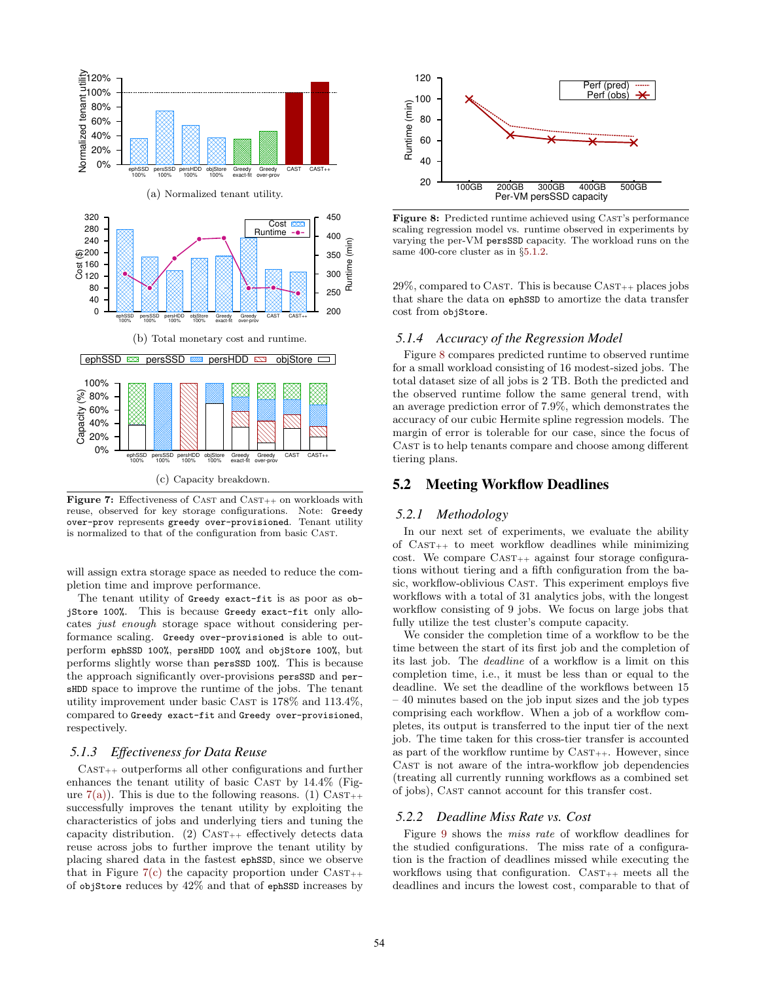<span id="page-9-1"></span><span id="page-9-0"></span>

<span id="page-9-3"></span><span id="page-9-2"></span>Figure 7: Effectiveness of CAST and CAST++ on workloads with reuse, observed for key storage configurations. Note: Greedy over-prov represents greedy over-provisioned. Tenant utility is normalized to that of the configuration from basic Cast.

will assign extra storage space as needed to reduce the completion time and improve performance.

The tenant utility of Greedy exact-fit is as poor as objStore 100%. This is because Greedy exact-fit only allocates just enough storage space without considering performance scaling. Greedy over-provisioned is able to outperform ephSSD 100%, persHDD 100% and objStore 100%, but performs slightly worse than persSSD 100%. This is because the approach significantly over-provisions persSSD and persHDD space to improve the runtime of the jobs. The tenant utility improvement under basic CAST is  $178\%$  and  $113.4\%$ , compared to Greedy exact-fit and Greedy over-provisioned, respectively.

### *5.1.3 Effectiveness for Data Reuse*

 $CAST_{++}$  outperforms all other configurations and further enhances the tenant utility of basic CAST by  $14.4\%$  (Figure  $7(a)$ ). This is due to the following reasons. (1)  $C_AST_{++}$ successfully improves the tenant utility by exploiting the characteristics of jobs and underlying tiers and tuning the capacity distribution. (2)  $CAST_{++}$  effectively detects data reuse across jobs to further improve the tenant utility by placing shared data in the fastest ephSSD, since we observe that in Figure [7\(c\)](#page-9-2) the capacity proportion under  $C_AST_{++}$ of objStore reduces by 42% and that of ephSSD increases by

<span id="page-9-4"></span>

Figure 8: Predicted runtime achieved using CAST's performance scaling regression model vs. runtime observed in experiments by varying the per-VM persSSD capacity. The workload runs on the same 400-core cluster as in §[5.1.2](#page-8-6).

 $29\%$ , compared to CAST. This is because  $\text{CAST}_{++}$  places jobs that share the data on ephSSD to amortize the data transfer cost from objStore.

# *5.1.4 Accuracy of the Regression Model*

Figure [8](#page-9-4) compares predicted runtime to observed runtime for a small workload consisting of 16 modest-sized jobs. The total dataset size of all jobs is 2 TB. Both the predicted and the observed runtime follow the same general trend, with an average prediction error of 7.9%, which demonstrates the accuracy of our cubic Hermite spline regression models. The margin of error is tolerable for our case, since the focus of CAST is to help tenants compare and choose among different tiering plans.

# 5.2 Meeting Workflow Deadlines

### *5.2.1 Methodology*

In our next set of experiments, we evaluate the ability of  $C_AST_{++}$  to meet workflow deadlines while minimizing cost. We compare  $\text{CAST}_{++}$  against four storage configurations without tiering and a fifth configuration from the basic, workflow-oblivious CAST. This experiment employs five workflows with a total of 31 analytics jobs, with the longest workflow consisting of 9 jobs. We focus on large jobs that fully utilize the test cluster's compute capacity.

We consider the completion time of a workflow to be the time between the start of its first job and the completion of its last job. The deadline of a workflow is a limit on this completion time, i.e., it must be less than or equal to the deadline. We set the deadline of the workflows between 15 – 40 minutes based on the job input sizes and the job types comprising each workflow. When a job of a workflow completes, its output is transferred to the input tier of the next job. The time taken for this cross-tier transfer is accounted as part of the workflow runtime by  $CAST_{++}$ . However, since CAST is not aware of the intra-workflow job dependencies (treating all currently running workflows as a combined set of jobs), Cast cannot account for this transfer cost.

### *5.2.2 Deadline Miss Rate vs. Cost*

Figure [9](#page-10-14) shows the miss rate of workflow deadlines for the studied configurations. The miss rate of a configuration is the fraction of deadlines missed while executing the workflows using that configuration.  $C_AST_{++}$  meets all the deadlines and incurs the lowest cost, comparable to that of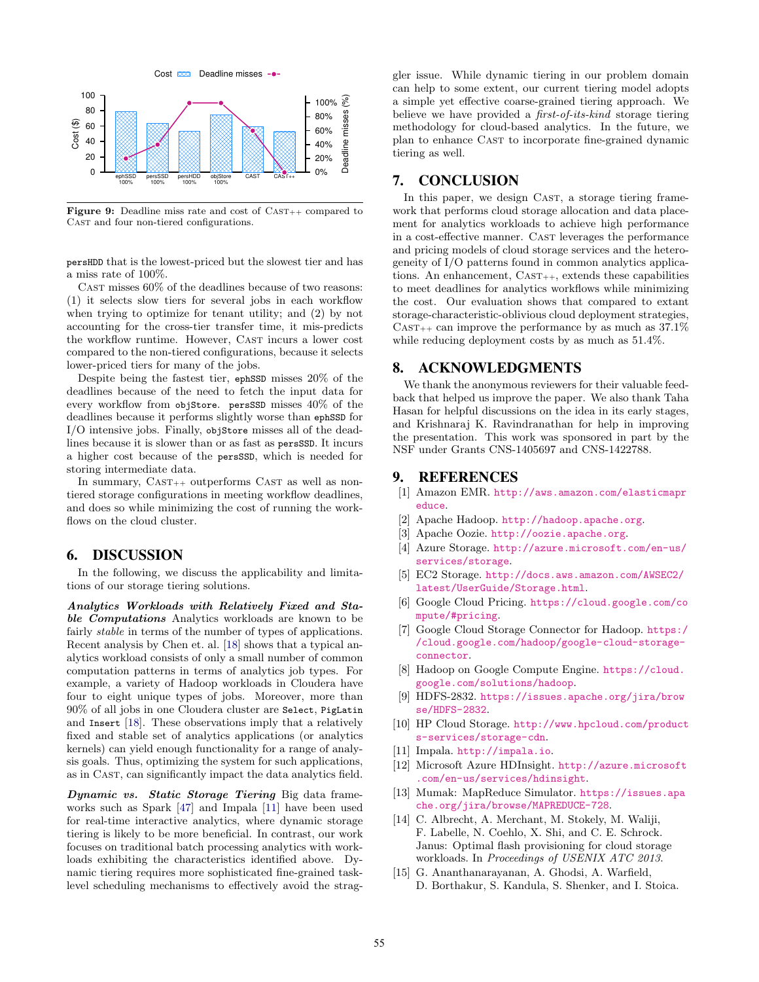<span id="page-10-14"></span>

**Figure 9:** Deadline miss rate and cost of  $C_AST_{++}$  compared to Cast and four non-tiered configurations.

persHDD that is the lowest-priced but the slowest tier and has a miss rate of 100%.

CAST misses  $60\%$  of the deadlines because of two reasons: (1) it selects slow tiers for several jobs in each workflow when trying to optimize for tenant utility; and (2) by not accounting for the cross-tier transfer time, it mis-predicts the workflow runtime. However, Cast incurs a lower cost compared to the non-tiered configurations, because it selects lower-priced tiers for many of the jobs.

Despite being the fastest tier, ephSSD misses 20% of the deadlines because of the need to fetch the input data for every workflow from objStore. persSSD misses 40% of the deadlines because it performs slightly worse than ephSSD for I/O intensive jobs. Finally, objStore misses all of the deadlines because it is slower than or as fast as persSSD. It incurs a higher cost because of the persSSD, which is needed for storing intermediate data.

In summary,  $CAST_{++}$  outperforms CAST as well as nontiered storage configurations in meeting workflow deadlines, and does so while minimizing the cost of running the workflows on the cloud cluster.

# 6. DISCUSSION

In the following, we discuss the applicability and limitations of our storage tiering solutions.

Analytics Workloads with Relatively Fixed and Stable Computations Analytics workloads are known to be fairly *stable* in terms of the number of types of applications. Recent analysis by Chen et. al. [\[18\]](#page-11-1) shows that a typical analytics workload consists of only a small number of common computation patterns in terms of analytics job types. For example, a variety of Hadoop workloads in Cloudera have four to eight unique types of jobs. Moreover, more than 90% of all jobs in one Cloudera cluster are Select, PigLatin and Insert [\[18\]](#page-11-1). These observations imply that a relatively fixed and stable set of analytics applications (or analytics kernels) can yield enough functionality for a range of analysis goals. Thus, optimizing the system for such applications, as in CAST, can significantly impact the data analytics field.

Dynamic vs. Static Storage Tiering Big data frameworks such as Spark [\[47\]](#page-11-31) and Impala [\[11\]](#page-10-15) have been used for real-time interactive analytics, where dynamic storage tiering is likely to be more beneficial. In contrast, our work focuses on traditional batch processing analytics with workloads exhibiting the characteristics identified above. Dynamic tiering requires more sophisticated fine-grained tasklevel scheduling mechanisms to effectively avoid the straggler issue. While dynamic tiering in our problem domain can help to some extent, our current tiering model adopts a simple yet effective coarse-grained tiering approach. We believe we have provided a first-of-its-kind storage tiering methodology for cloud-based analytics. In the future, we plan to enhance Cast to incorporate fine-grained dynamic tiering as well.

# 7. CONCLUSION

In this paper, we design CAST, a storage tiering framework that performs cloud storage allocation and data placement for analytics workloads to achieve high performance in a cost-effective manner. Cast leverages the performance and pricing models of cloud storage services and the heterogeneity of I/O patterns found in common analytics applications. An enhancement,  $C_AST_{++}$ , extends these capabilities to meet deadlines for analytics workflows while minimizing the cost. Our evaluation shows that compared to extant storage-characteristic-oblivious cloud deployment strategies,  $CAST_{++}$  can improve the performance by as much as 37.1% while reducing deployment costs by as much as 51.4%.

# 8. ACKNOWLEDGMENTS

We thank the anonymous reviewers for their valuable feedback that helped us improve the paper. We also thank Taha Hasan for helpful discussions on the idea in its early stages, and Krishnaraj K. Ravindranathan for help in improving the presentation. This work was sponsored in part by the NSF under Grants CNS-1405697 and CNS-1422788.

# <span id="page-10-2"></span>9. REFERENCES

- <span id="page-10-1"></span>[1] Amazon EMR. [http://aws.amazon.com/elasticmapr](http://aws.amazon.com/elasticmapreduce) [educe](http://aws.amazon.com/elasticmapreduce).
- <span id="page-10-12"></span>[2] Apache Hadoop. <http://hadoop.apache.org>.
- <span id="page-10-6"></span>[3] Apache Oozie. <http://oozie.apache.org>.
- [4] Azure Storage. [http://azure.microsoft.com/en-us/](http://azure.microsoft.com/en-us/services/storage) [services/storage](http://azure.microsoft.com/en-us/services/storage).
- <span id="page-10-5"></span>[5] EC2 Storage. [http://docs.aws.amazon.com/AWSEC2/](http://docs.aws.amazon.com/AWSEC2/latest/UserGuide/Storage.html) [latest/UserGuide/Storage.html](http://docs.aws.amazon.com/AWSEC2/latest/UserGuide/Storage.html).
- <span id="page-10-0"></span>[6] Google Cloud Pricing. [https://cloud.google.com/co](https://cloud.google.com/compute/#pricing) [mpute/#pricing](https://cloud.google.com/compute/#pricing).
- <span id="page-10-11"></span>[7] Google Cloud Storage Connector for Hadoop. [https:/](https://cloud.google.com/hadoop/google-cloud-storage-connector) [/cloud.google.com/hadoop/google-cloud-storage](https://cloud.google.com/hadoop/google-cloud-storage-connector)[connector](https://cloud.google.com/hadoop/google-cloud-storage-connector).
- <span id="page-10-3"></span>[8] Hadoop on Google Compute Engine. [https://cloud.](https://cloud.google.com/solutions/hadoop) [google.com/solutions/hadoop](https://cloud.google.com/solutions/hadoop).
- <span id="page-10-9"></span>[9] HDFS-2832. [https://issues.apache.org/jira/brow](https://issues.apache.org/jira/browse/HDFS-2832) [se/HDFS-2832](https://issues.apache.org/jira/browse/HDFS-2832).
- <span id="page-10-7"></span>[10] HP Cloud Storage. [http://www.hpcloud.com/product](http://www.hpcloud.com/products-services/storage-cdn) [s-services/storage-cdn](http://www.hpcloud.com/products-services/storage-cdn).
- <span id="page-10-15"></span><span id="page-10-4"></span>[11] Impala. <http://impala.io>.
- [12] Microsoft Azure HDInsight. [http://azure.microsoft](http://azure.microsoft.com/en-us/services/hdinsight) [.com/en-us/services/hdinsight](http://azure.microsoft.com/en-us/services/hdinsight).
- <span id="page-10-13"></span>[13] Mumak: MapReduce Simulator. [https://issues.apa](https://issues.apache.org/jira/browse/MAPREDUCE-728) [che.org/jira/browse/MAPREDUCE-728](https://issues.apache.org/jira/browse/MAPREDUCE-728).
- <span id="page-10-10"></span>[14] C. Albrecht, A. Merchant, M. Stokely, M. Waliji, F. Labelle, N. Coehlo, X. Shi, and C. E. Schrock. Janus: Optimal flash provisioning for cloud storage workloads. In Proceedings of USENIX ATC 2013.
- <span id="page-10-8"></span>[15] G. Ananthanarayanan, A. Ghodsi, A. Warfield, D. Borthakur, S. Kandula, S. Shenker, and I. Stoica.